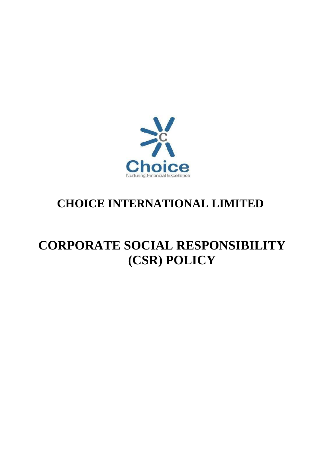

# **CHOICE INTERNATIONAL LIMITED**

# **CORPORATE SOCIAL RESPONSIBILITY (CSR) POLICY**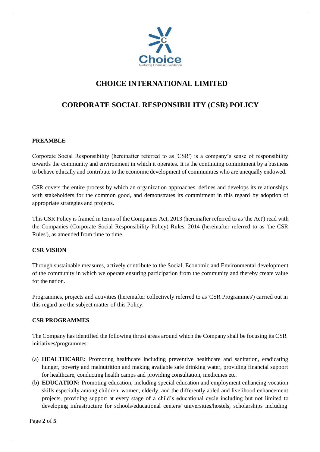

# **CHOICE INTERNATIONAL LIMITED**

# **CORPORATE SOCIAL RESPONSIBILITY (CSR) POLICY**

# **PREAMBLE**

Corporate Social Responsibility (hereinafter referred to as 'CSR') is a company's sense of responsibility towards the community and environment in which it operates. It is the continuing commitment by a business to behave ethically and contribute to the economic development of communities who are unequally endowed.

CSR covers the entire process by which an organization approaches, defines and develops its relationships with stakeholders for the common good, and demonstrates its commitment in this regard by adoption of appropriate strategies and projects.

This CSR Policy is framed in terms of the Companies Act, 2013 (hereinafter referred to as 'the Act') read with the Companies (Corporate Social Responsibility Policy) Rules, 2014 (hereinafter referred to as 'the CSR Rules'), as amended from time to time.

# **CSR VISION**

Through sustainable measures, actively contribute to the Social, Economic and Environmental development of the community in which we operate ensuring participation from the community and thereby create value for the nation.

Programmes, projects and activities (hereinafter collectively referred to as 'CSR Programmes') carried out in this regard are the subject matter of this Policy.

# **CSR PROGRAMMES**

The Company has identified the following thrust areas around which the Company shall be focusing its CSR initiatives/programmes:

- (a) **HEALTHCARE:** Promoting healthcare including preventive healthcare and sanitation, eradicating hunger, poverty and malnutrition and making available safe drinking water, providing financial support for healthcare, conducting health camps and providing consultation, medicines etc.
- (b) **EDUCATION:** Promoting education, including special education and employment enhancing vocation skills especially among children, women, elderly, and the differently abled and livelihood enhancement projects, providing support at every stage of a child's educational cycle including but not limited to developing infrastructure for schools/educational centers/ universities/hostels, scholarships including

Page **2** of **5**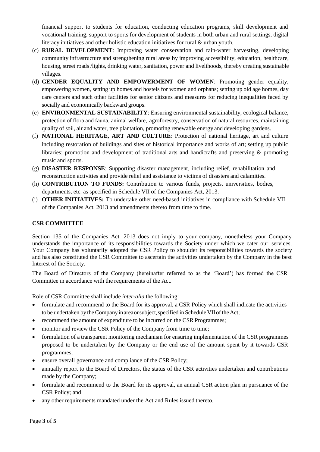financial support to students for education, conducting education programs, skill development and vocational training, support to sports for development of students in both urban and rural settings, digital literacy initiatives and other holistic education initiatives for rural & urban youth.

- (c) **RURAL DEVELOPMENT**: Improving water conservation and rain-water harvesting, developing community infrastructure and strengthening rural areas by improving accessibility, education, healthcare, housing, street roads /lights, drinking water, sanitation, power and livelihoods, thereby creating sustainable villages.
- (d) **GENDER EQUALITY AND EMPOWERMENT OF WOMEN**: Promoting gender equality, empowering women, setting up homes and hostels for women and orphans; setting up old age homes, day care centers and such other facilities for senior citizens and measures for reducing inequalities faced by socially and economically backward groups.
- (e) **ENVIRONMENTAL SUSTAINABILITY**: Ensuring environmental sustainability, ecological balance, protection of flora and fauna, animal welfare, agroforestry, conservation of natural resources, maintaining quality of soil, air and water, tree plantation, promoting renewable energy and developing gardens.
- (f) **NATIONAL HERITAGE, ART AND CULTURE**: Protection of national heritage, art and culture including restoration of buildings and sites of historical importance and works of art; setting up public libraries; promotion and development of traditional arts and handicrafts and preserving & promoting music and sports.
- (g) **DISASTER RESPONSE**: Supporting disaster management, including relief, rehabilitation and reconstruction activities and provide relief and assistance to victims of disasters and calamities.
- (h) **CONTRIBUTION TO FUNDS:** Contribution to various funds, projects, universities, bodies, departments, etc. as specified in Schedule VII of the Companies Act, 2013.
- (i) **OTHER INITIATIVES:** To undertake other need-based initiatives in compliance with Schedule VII of the Companies Act, 2013 and amendments thereto from time to time.

# **CSR COMMITTEE**

Section 135 of the Companies Act. 2013 does not imply to your company, nonetheless your Company understands the importance of its responsibilities towards the Society under which we cater our services. Your Company has voluntarily adopted the CSR Policy to shoulder its responsibilities towards the society and has also constituted the CSR Committee to ascertain the activities undertaken by the Company in the best Interest of the Society.

The Board of Directors of the Company (hereinafter referred to as the 'Board') has formed the CSR Committee in accordance with the requirements of the Act.

Role of CSR Committee shall include *inter-alia* the following:

- formulate and recommend to the Board for its approval, a CSR Policy which shall indicate the activities to be undertaken by the Company in area or subject, specified in Schedule VII of the Act;
- recommend the amount of expenditure to be incurred on the CSR Programmes;
- monitor and review the CSR Policy of the Company from time to time;
- formulation of a transparent monitoring mechanism for ensuring implementation of the CSR programmes proposed to be undertaken by the Company or the end use of the amount spent by it towards CSR programmes;
- ensure overall governance and compliance of the CSR Policy;
- annually report to the Board of Directors, the status of the CSR activities undertaken and contributions made by the Company;
- formulate and recommend to the Board for its approval, an annual CSR action plan in pursuance of the CSR Policy; and
- any other requirements mandated under the Act and Rules issued thereto.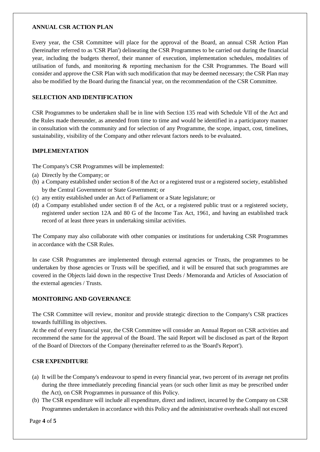#### **ANNUAL CSR ACTION PLAN**

Every year, the CSR Committee will place for the approval of the Board, an annual CSR Action Plan (hereinafter referred to as 'CSR Plan') delineating the CSR Programmes to be carried out during the financial year, including the budgets thereof, their manner of execution, implementation schedules, modalities of utilisation of funds, and monitoring & reporting mechanism for the CSR Programmes. The Board will consider and approve the CSR Plan with such modification that may be deemed necessary; the CSR Plan may also be modified by the Board during the financial year, on the recommendation of the CSR Committee.

### **SELECTION AND IDENTIFICATION**

CSR Programmes to be undertaken shall be in line with Section 135 read with Schedule VII of the Act and the Rules made thereunder, as amended from time to time and would be identified in a participatory manner in consultation with the community and for selection of any Programme, the scope, impact, cost, timelines, sustainability, visibility of the Company and other relevant factors needs to be evaluated.

#### **IMPLEMENTATION**

The Company's CSR Programmes will be implemented:

- (a) Directly by the Company; or
- (b) a Company established under section 8 of the Act or a registered trust or a registered society, established by the Central Government or State Government; or
- (c) any entity established under an Act of Parliament or a State legislature; or
- (d) a Company established under section 8 of the Act, or a registered public trust or a registered society, registered under section 12A and 80 G of the Income Tax Act, 1961, and having an established track record of at least three years in undertaking similar activities.

The Company may also collaborate with other companies or institutions for undertaking CSR Programmes in accordance with the CSR Rules.

In case CSR Programmes are implemented through external agencies or Trusts, the programmes to be undertaken by those agencies or Trusts will be specified, and it will be ensured that such programmes are covered in the Objects laid down in the respective Trust Deeds / Memoranda and Articles of Association of the external agencies / Trusts.

# **MONITORING AND GOVERNANCE**

The CSR Committee will review, monitor and provide strategic direction to the Company's CSR practices towards fulfilling its objectives.

At the end of every financial year, the CSR Committee will consider an Annual Report on CSR activities and recommend the same for the approval of the Board. The said Report will be disclosed as part of the Report of the Board of Directors of the Company (hereinafter referred to as the 'Board's Report').

#### **CSR EXPENDITURE**

- (a) It will be the Company's endeavour to spend in every financial year, two percent of its average net profits during the three immediately preceding financial years (or such other limit as may be prescribed under the Act), on CSR Programmes in pursuance of this Policy.
- (b) The CSR expenditure will include all expenditure, direct and indirect, incurred by the Company on CSR Programmes undertaken in accordance with this Policy and the administrative overheads shall not exceed

Page **4** of **5**